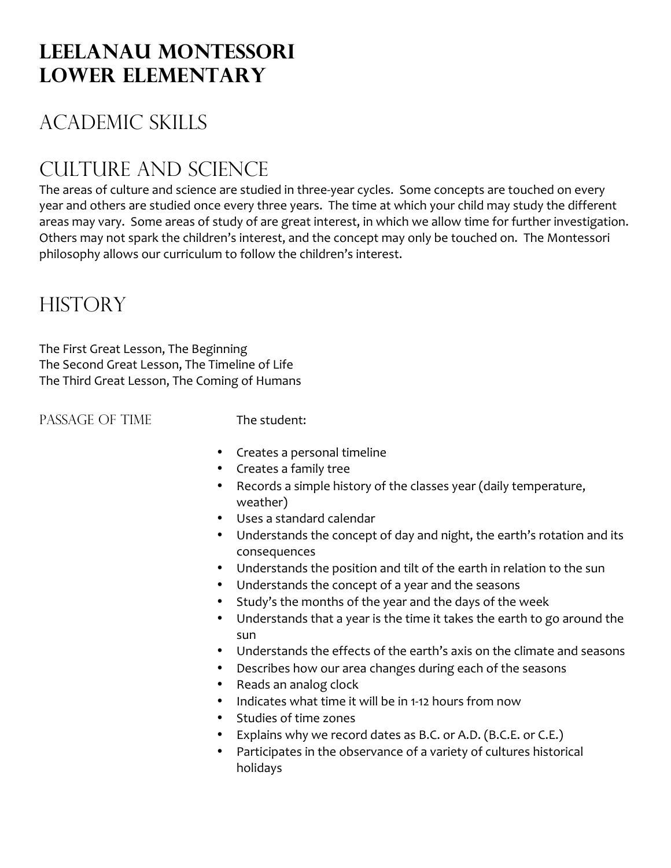## **Leelanau Montessori Lower elementary**

# Academic Skills

# Culture and science

The areas of culture and science are studied in three-year cycles. Some concepts are touched on every year and others are studied once every three years. The time at which your child may study the different areas may vary. Some areas of study of are great interest, in which we allow time for further investigation. Others may not spark the children's interest, and the concept may only be touched on. The Montessori philosophy allows our curriculum to follow the children's interest.

## **HISTORY**

The First Great Lesson, The Beginning The Second Great Lesson, The Timeline of Life The Third Great Lesson, The Coming of Humans

PASSAGE OF TIME The student:

- Creates a personal timeline
- Creates a family tree
- Records a simple history of the classes year (daily temperature, weather)
- Uses a standard calendar
- Understands the concept of day and night, the earth's rotation and its consequences
- Understands the position and tilt of the earth in relation to the sun
- Understands the concept of a year and the seasons
- Study's the months of the year and the days of the week
- Understands that a year is the time it takes the earth to go around the sun
- Understands the effects of the earth's axis on the climate and seasons
- Describes how our area changes during each of the seasons
- Reads an analog clock
- Indicates what time it will be in 1-12 hours from now
- Studies of time zones
- Explains why we record dates as B.C. or A.D. (B.C.E. or C.E.)
- Participates in the observance of a variety of cultures historical holidays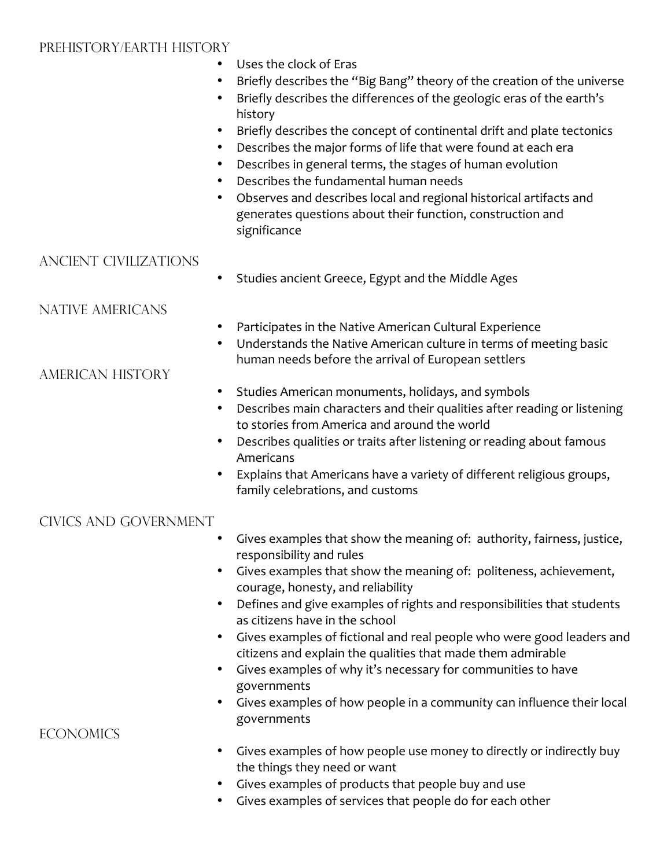#### Prehistory/Earth History

- Uses the clock of Eras
- Briefly describes the "Big Bang" theory of the creation of the universe
- Briefly describes the differences of the geologic eras of the earth's history
- Briefly describes the concept of continental drift and plate tectonics
- Describes the major forms of life that were found at each era
- Describes in general terms, the stages of human evolution
- Describes the fundamental human needs
- Observes and describes local and regional historical artifacts and generates questions about their function, construction and significance

### Ancient Civilizations

• Studies ancient Greece, Egypt and the Middle Ages

### Native Americans

- Participates in the Native American Cultural Experience
- Understands the Native American culture in terms of meeting basic human needs before the arrival of European settlers

### American History

- Studies American monuments, holidays, and symbols
- Describes main characters and their qualities after reading or listening to stories from America and around the world
- Describes qualities or traits after listening or reading about famous Americans
- Explains that Americans have a variety of different religious groups, family celebrations, and customs

### Civics and Government

- Gives examples that show the meaning of: authority, fairness, justice, responsibility and rules
- Gives examples that show the meaning of: politeness, achievement, courage, honesty, and reliability
- Defines and give examples of rights and responsibilities that students as citizens have in the school
- Gives examples of fictional and real people who were good leaders and citizens and explain the qualities that made them admirable
- Gives examples of why it's necessary for communities to have governments
- Gives examples of how people in a community can influence their local governments

#### • Gives examples of how people use money to directly or indirectly buy the things they need or want

- Gives examples of products that people buy and use
- Gives examples of services that people do for each other

### **ECONOMICS**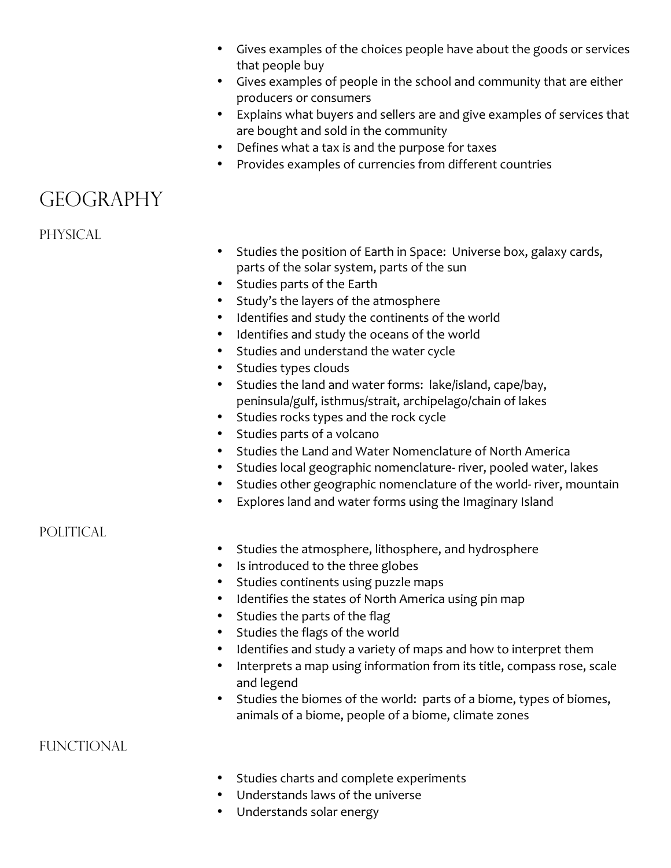- Gives examples of the choices people have about the goods or services that people buy
- Gives examples of people in the school and community that are either producers or consumers
- Explains what buyers and sellers are and give examples of services that are bought and sold in the community
- Defines what a tax is and the purpose for taxes
- Provides examples of currencies from different countries

### **GEOGRAPHY**

PHYSICAL

- Studies the position of Earth in Space: Universe box, galaxy cards, parts of the solar system, parts of the sun
- Studies parts of the Earth
- Study's the layers of the atmosphere
- Identifies and study the continents of the world
- Identifies and study the oceans of the world
- Studies and understand the water cycle
- Studies types clouds
- Studies the land and water forms: lake/island, cape/bay, peninsula/gulf, isthmus/strait, archipelago/chain of lakes
- Studies rocks types and the rock cycle
- Studies parts of a volcano
- Studies the Land and Water Nomenclature of North America
- Studies local geographic nomenclature- river, pooled water, lakes
- Studies other geographic nomenclature of the world- river, mountain
- Explores land and water forms using the Imaginary Island

### POLITICAL

- Studies the atmosphere, lithosphere, and hydrosphere
- Is introduced to the three globes
- Studies continents using puzzle maps
- Identifies the states of North America using pin map
- Studies the parts of the flag
- Studies the flags of the world
- Identifies and study a variety of maps and how to interpret them
- Interprets a map using information from its title, compass rose, scale and legend
- Studies the biomes of the world: parts of a biome, types of biomes, animals of a biome, people of a biome, climate zones

**FUNCTIONAL** 

- Studies charts and complete experiments
- Understands laws of the universe
- Understands solar energy